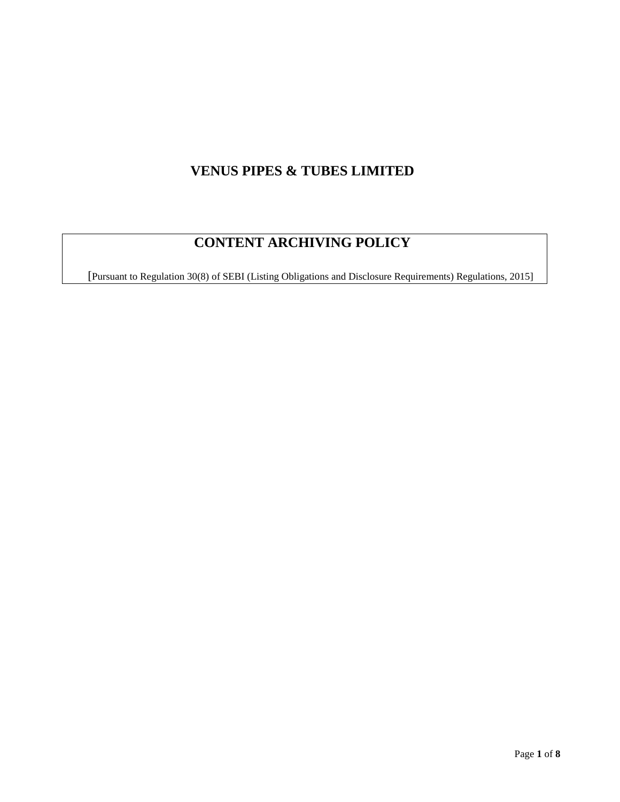# **VENUS PIPES & TUBES LIMITED**

# **CONTENT ARCHIVING POLICY**

[Pursuant to Regulation 30(8) of SEBI (Listing Obligations and Disclosure Requirements) Regulations, 2015]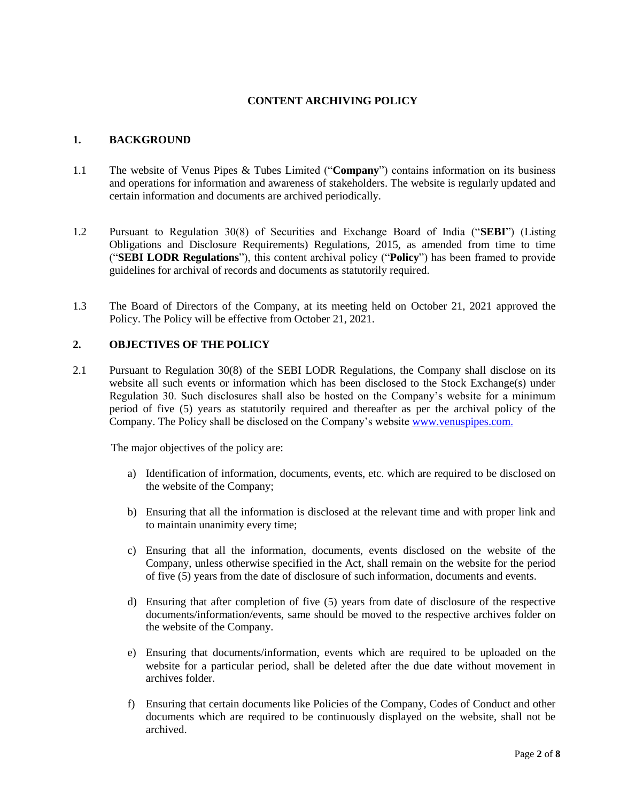## **CONTENT ARCHIVING POLICY**

#### **1. BACKGROUND**

- 1.1 The website of Venus Pipes & Tubes Limited ("**Company**") contains information on its business and operations for information and awareness of stakeholders. The website is regularly updated and certain information and documents are archived periodically.
- 1.2 Pursuant to Regulation 30(8) of Securities and Exchange Board of India ("**SEBI**") (Listing Obligations and Disclosure Requirements) Regulations, 2015, as amended from time to time ("**SEBI LODR Regulations**"), this content archival policy ("**Policy**") has been framed to provide guidelines for archival of records and documents as statutorily required.
- 1.3 The Board of Directors of the Company, at its meeting held on October 21, 2021 approved the Policy. The Policy will be effective from October 21, 2021.

#### **2. OBJECTIVES OF THE POLICY**

2.1 Pursuant to Regulation 30(8) of the SEBI LODR Regulations, the Company shall disclose on its website all such events or information which has been disclosed to the Stock Exchange(s) under Regulation 30. Such disclosures shall also be hosted on the Company's website for a minimum period of five (5) years as statutorily required and thereafter as per the archival policy of the Company. The Policy shall be disclosed on the Company's website [www.venuspipes.com.](http://www.venuspipes.com/)

The major objectives of the policy are:

- a) Identification of information, documents, events, etc. which are required to be disclosed on the website of the Company;
- b) Ensuring that all the information is disclosed at the relevant time and with proper link and to maintain unanimity every time;
- c) Ensuring that all the information, documents, events disclosed on the website of the Company, unless otherwise specified in the Act, shall remain on the website for the period of five (5) years from the date of disclosure of such information, documents and events.
- d) Ensuring that after completion of five (5) years from date of disclosure of the respective documents/information/events, same should be moved to the respective archives folder on the website of the Company.
- e) Ensuring that documents/information, events which are required to be uploaded on the website for a particular period, shall be deleted after the due date without movement in archives folder.
- f) Ensuring that certain documents like Policies of the Company, Codes of Conduct and other documents which are required to be continuously displayed on the website, shall not be archived.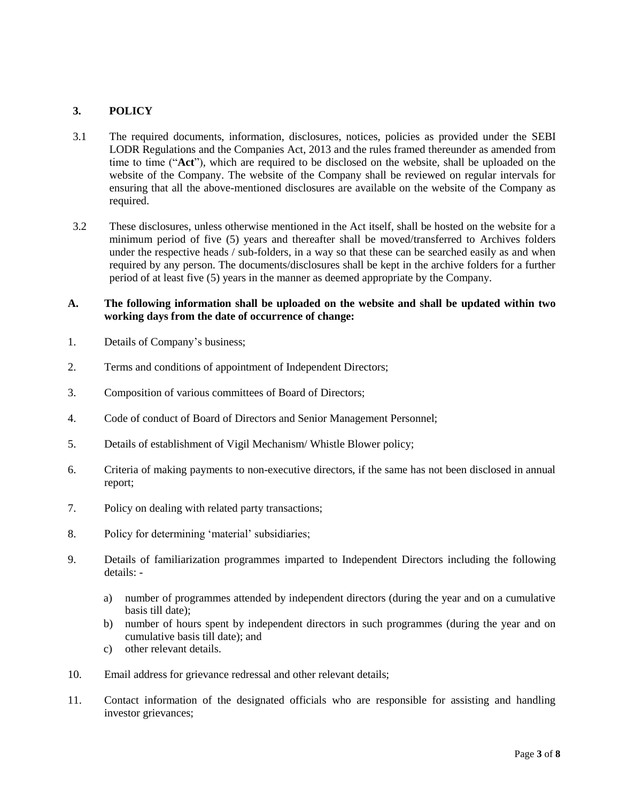## **3. POLICY**

- 3.1 The required documents, information, disclosures, notices, policies as provided under the SEBI LODR Regulations and the Companies Act, 2013 and the rules framed thereunder as amended from time to time ("**Act**"), which are required to be disclosed on the website, shall be uploaded on the website of the Company. The website of the Company shall be reviewed on regular intervals for ensuring that all the above-mentioned disclosures are available on the website of the Company as required.
- 3.2 These disclosures, unless otherwise mentioned in the Act itself, shall be hosted on the website for a minimum period of five (5) years and thereafter shall be moved/transferred to Archives folders under the respective heads / sub-folders, in a way so that these can be searched easily as and when required by any person. The documents/disclosures shall be kept in the archive folders for a further period of at least five (5) years in the manner as deemed appropriate by the Company.

### **A. The following information shall be uploaded on the website and shall be updated within two working days from the date of occurrence of change:**

- 1. Details of Company's business;
- 2. Terms and conditions of appointment of Independent Directors;
- 3. Composition of various committees of Board of Directors;
- 4. Code of conduct of Board of Directors and Senior Management Personnel;
- 5. Details of establishment of Vigil Mechanism/ Whistle Blower policy;
- 6. Criteria of making payments to non-executive directors, if the same has not been disclosed in annual report;
- 7. Policy on dealing with related party transactions;
- 8. Policy for determining 'material' subsidiaries;
- 9. Details of familiarization programmes imparted to Independent Directors including the following details:
	- a) number of programmes attended by independent directors (during the year and on a cumulative basis till date);
	- b) number of hours spent by independent directors in such programmes (during the year and on cumulative basis till date); and
	- c) other relevant details.
- 10. Email address for grievance redressal and other relevant details;
- 11. Contact information of the designated officials who are responsible for assisting and handling investor grievances;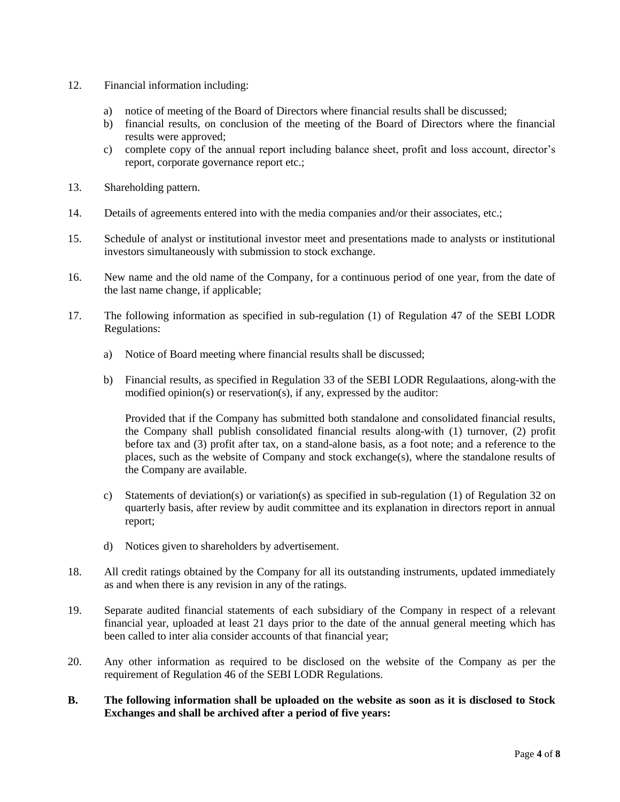- 12. Financial information including:
	- a) notice of meeting of the Board of Directors where financial results shall be discussed;
	- b) financial results, on conclusion of the meeting of the Board of Directors where the financial results were approved;
	- c) complete copy of the annual report including balance sheet, profit and loss account, director's report, corporate governance report etc.;
- 13. Shareholding pattern.
- 14. Details of agreements entered into with the media companies and/or their associates, etc.;
- 15. Schedule of analyst or institutional investor meet and presentations made to analysts or institutional investors simultaneously with submission to stock exchange.
- 16. New name and the old name of the Company, for a continuous period of one year, from the date of the last name change, if applicable;
- 17. The following information as specified in sub-regulation (1) of Regulation 47 of the SEBI LODR Regulations:
	- a) Notice of Board meeting where financial results shall be discussed;
	- b) Financial results, as specified in Regulation 33 of the SEBI LODR Regulaations, along-with the modified opinion(s) or reservation(s), if any, expressed by the auditor:

Provided that if the Company has submitted both standalone and consolidated financial results, the Company shall publish consolidated financial results along-with (1) turnover, (2) profit before tax and (3) profit after tax, on a stand-alone basis, as a foot note; and a reference to the places, such as the website of Company and stock exchange(s), where the standalone results of the Company are available.

- c) Statements of deviation(s) or variation(s) as specified in sub-regulation (1) of Regulation 32 on quarterly basis, after review by audit committee and its explanation in directors report in annual report;
- d) Notices given to shareholders by advertisement.
- 18. All credit ratings obtained by the Company for all its outstanding instruments, updated immediately as and when there is any revision in any of the ratings.
- 19. Separate audited financial statements of each subsidiary of the Company in respect of a relevant financial year, uploaded at least 21 days prior to the date of the annual general meeting which has been called to inter alia consider accounts of that financial year;
- 20. Any other information as required to be disclosed on the website of the Company as per the requirement of Regulation 46 of the SEBI LODR Regulations.
- **B. The following information shall be uploaded on the website as soon as it is disclosed to Stock Exchanges and shall be archived after a period of five years:**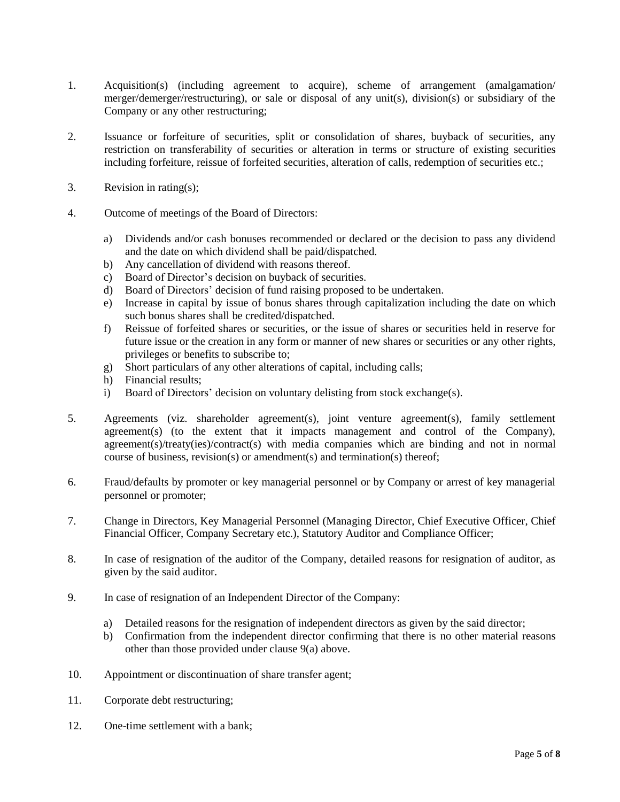- 1. Acquisition(s) (including agreement to acquire), scheme of arrangement (amalgamation/ merger/demerger/restructuring), or sale or disposal of any unit(s), division(s) or subsidiary of the Company or any other restructuring;
- 2. Issuance or forfeiture of securities, split or consolidation of shares, buyback of securities, any restriction on transferability of securities or alteration in terms or structure of existing securities including forfeiture, reissue of forfeited securities, alteration of calls, redemption of securities etc.;
- 3. Revision in rating(s);
- 4. Outcome of meetings of the Board of Directors:
	- a) Dividends and/or cash bonuses recommended or declared or the decision to pass any dividend and the date on which dividend shall be paid/dispatched.
	- b) Any cancellation of dividend with reasons thereof.
	- c) Board of Director's decision on buyback of securities.
	- d) Board of Directors' decision of fund raising proposed to be undertaken.
	- e) Increase in capital by issue of bonus shares through capitalization including the date on which such bonus shares shall be credited/dispatched.
	- f) Reissue of forfeited shares or securities, or the issue of shares or securities held in reserve for future issue or the creation in any form or manner of new shares or securities or any other rights, privileges or benefits to subscribe to;
	- g) Short particulars of any other alterations of capital, including calls;
	- h) Financial results;
	- i) Board of Directors' decision on voluntary delisting from stock exchange(s).
- 5. Agreements (viz. shareholder agreement(s), joint venture agreement(s), family settlement agreement(s) (to the extent that it impacts management and control of the Company), agreement(s)/treaty(ies)/contract(s) with media companies which are binding and not in normal course of business, revision(s) or amendment(s) and termination(s) thereof;
- 6. Fraud/defaults by promoter or key managerial personnel or by Company or arrest of key managerial personnel or promoter;
- 7. Change in Directors, Key Managerial Personnel (Managing Director, Chief Executive Officer, Chief Financial Officer, Company Secretary etc.), Statutory Auditor and Compliance Officer;
- 8. In case of resignation of the auditor of the Company, detailed reasons for resignation of auditor, as given by the said auditor.
- 9. In case of resignation of an Independent Director of the Company:
	- a) Detailed reasons for the resignation of independent directors as given by the said director;
	- b) Confirmation from the independent director confirming that there is no other material reasons other than those provided under clause 9(a) above.
- 10. Appointment or discontinuation of share transfer agent;
- 11. Corporate debt restructuring;
- 12. One-time settlement with a bank;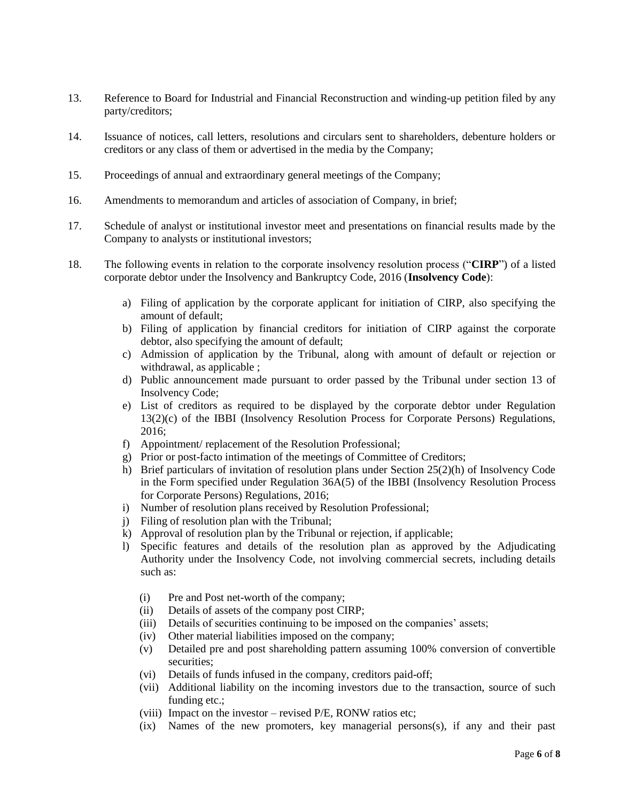- 13. Reference to Board for Industrial and Financial Reconstruction and winding-up petition filed by any party/creditors;
- 14. Issuance of notices, call letters, resolutions and circulars sent to shareholders, debenture holders or creditors or any class of them or advertised in the media by the Company;
- 15. Proceedings of annual and extraordinary general meetings of the Company;
- 16. Amendments to memorandum and articles of association of Company, in brief;
- 17. Schedule of analyst or institutional investor meet and presentations on financial results made by the Company to analysts or institutional investors;
- 18. The following events in relation to the corporate insolvency resolution process ("**CIRP**") of a listed corporate debtor under the Insolvency and Bankruptcy Code, 2016 (**Insolvency Code**):
	- a) Filing of application by the corporate applicant for initiation of CIRP, also specifying the amount of default;
	- b) Filing of application by financial creditors for initiation of CIRP against the corporate debtor, also specifying the amount of default;
	- c) Admission of application by the Tribunal, along with amount of default or rejection or withdrawal, as applicable ;
	- d) Public announcement made pursuant to order passed by the Tribunal under section 13 of Insolvency Code;
	- e) List of creditors as required to be displayed by the corporate debtor under Regulation 13(2)(c) of the IBBI (Insolvency Resolution Process for Corporate Persons) Regulations, 2016;
	- f) Appointment/ replacement of the Resolution Professional;
	- g) Prior or post-facto intimation of the meetings of Committee of Creditors;
	- h) Brief particulars of invitation of resolution plans under Section 25(2)(h) of Insolvency Code in the Form specified under Regulation 36A(5) of the IBBI (Insolvency Resolution Process for Corporate Persons) Regulations, 2016;
	- i) Number of resolution plans received by Resolution Professional;
	- j) Filing of resolution plan with the Tribunal;
	- k) Approval of resolution plan by the Tribunal or rejection, if applicable;
	- l) Specific features and details of the resolution plan as approved by the Adjudicating Authority under the Insolvency Code, not involving commercial secrets, including details such as:
		- (i) Pre and Post net-worth of the company;
		- (ii) Details of assets of the company post CIRP;
		- (iii) Details of securities continuing to be imposed on the companies' assets;
		- (iv) Other material liabilities imposed on the company;
		- (v) Detailed pre and post shareholding pattern assuming 100% conversion of convertible securities;
		- (vi) Details of funds infused in the company, creditors paid-off;
		- (vii) Additional liability on the incoming investors due to the transaction, source of such funding etc.;
		- (viii) Impact on the investor revised P/E, RONW ratios etc;
		- (ix) Names of the new promoters, key managerial persons(s), if any and their past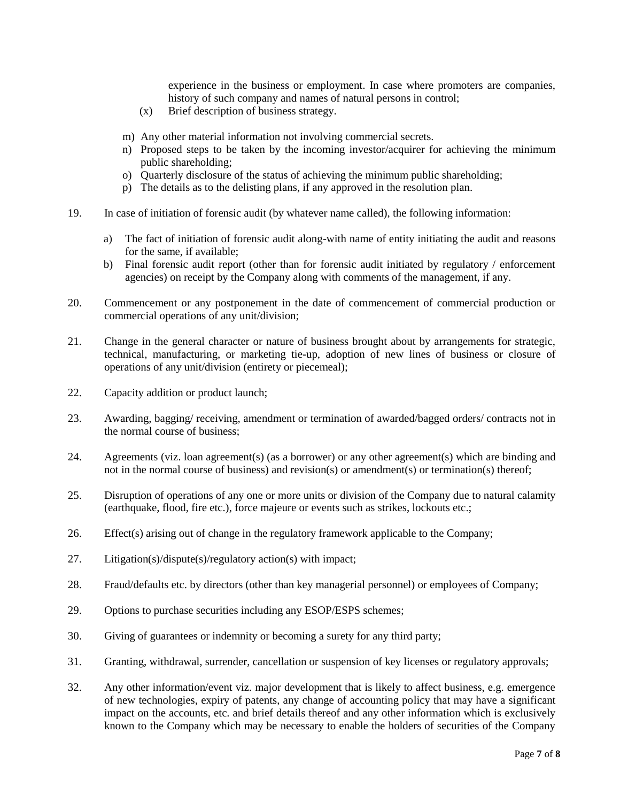experience in the business or employment. In case where promoters are companies, history of such company and names of natural persons in control;

- (x) Brief description of business strategy.
- m) Any other material information not involving commercial secrets.
- n) Proposed steps to be taken by the incoming investor/acquirer for achieving the minimum public shareholding;
- o) Quarterly disclosure of the status of achieving the minimum public shareholding;
- p) The details as to the delisting plans, if any approved in the resolution plan.
- 19. In case of initiation of forensic audit (by whatever name called), the following information:
	- a) The fact of initiation of forensic audit along-with name of entity initiating the audit and reasons for the same, if available;
	- b) Final forensic audit report (other than for forensic audit initiated by regulatory / enforcement agencies) on receipt by the Company along with comments of the management, if any.
- 20. Commencement or any postponement in the date of commencement of commercial production or commercial operations of any unit/division;
- 21. Change in the general character or nature of business brought about by arrangements for strategic, technical, manufacturing, or marketing tie-up, adoption of new lines of business or closure of operations of any unit/division (entirety or piecemeal);
- 22. Capacity addition or product launch;
- 23. Awarding, bagging/ receiving, amendment or termination of awarded/bagged orders/ contracts not in the normal course of business;
- 24. Agreements (viz. loan agreement(s) (as a borrower) or any other agreement(s) which are binding and not in the normal course of business) and revision(s) or amendment(s) or termination(s) thereof;
- 25. Disruption of operations of any one or more units or division of the Company due to natural calamity (earthquake, flood, fire etc.), force majeure or events such as strikes, lockouts etc.;
- 26. Effect(s) arising out of change in the regulatory framework applicable to the Company;
- 27. Litigation(s)/dispute(s)/regulatory action(s) with impact;
- 28. Fraud/defaults etc. by directors (other than key managerial personnel) or employees of Company;
- 29. Options to purchase securities including any ESOP/ESPS schemes;
- 30. Giving of guarantees or indemnity or becoming a surety for any third party;
- 31. Granting, withdrawal, surrender, cancellation or suspension of key licenses or regulatory approvals;
- 32. Any other information/event viz. major development that is likely to affect business, e.g. emergence of new technologies, expiry of patents, any change of accounting policy that may have a significant impact on the accounts, etc. and brief details thereof and any other information which is exclusively known to the Company which may be necessary to enable the holders of securities of the Company